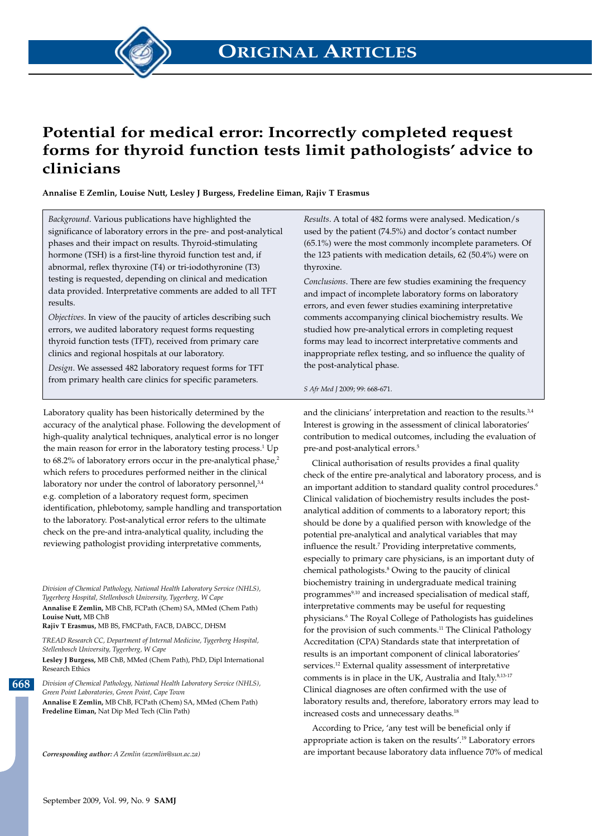

## **Potential for medical error: Incorrectly completed request forms for thyroid function tests limit pathologists' advice to clinicians**

**Annalise E Zemlin, Louise Nutt, Lesley J Burgess, Fredeline Eiman, Rajiv T Erasmus**

*Background*. Various publications have highlighted the significance of laboratory errors in the pre- and post-analytical phases and their impact on results. Thyroid-stimulating hormone (TSH) is a first-line thyroid function test and, if abnormal, reflex thyroxine (T4) or tri-iodothyronine (T3) testing is requested, depending on clinical and medication data provided. Interpretative comments are added to all TFT results.

*Objectives*. In view of the paucity of articles describing such errors, we audited laboratory request forms requesting thyroid function tests (TFT), received from primary care clinics and regional hospitals at our laboratory.

*Design*. We assessed 482 laboratory request forms for TFT from primary health care clinics for specific parameters.

Laboratory quality has been historically determined by the accuracy of the analytical phase. Following the development of high-quality analytical techniques, analytical error is no longer the main reason for error in the laboratory testing process.<sup>1</sup> Up to  $68.2\%$  of laboratory errors occur in the pre-analytical phase,<sup>2</sup> which refers to procedures performed neither in the clinical laboratory nor under the control of laboratory personnel, $3,4$ e.g. completion of a laboratory request form, specimen identification, phlebotomy, sample handling and transportation to the laboratory. Post-analytical error refers to the ultimate check on the pre-and intra-analytical quality, including the reviewing pathologist providing interpretative comments,

*Division of Chemical Pathology, National Health Laboratory Service (NHLS), Tygerberg Hospital, Stellenbosch University, Tygerberg, W Cape* **Annalise E Zemlin,** MB ChB, FCPath (Chem) SA, MMed (Chem Path) **Louise Nutt,** MB ChB

**Rajiv T Erasmus,** MB BS, FMCPath, FACB, DABCC, DHSM

*TREAD Research CC, Department of Internal Medicine, Tygerberg Hospital, Stellenbosch University, Tygerberg, W Cape* **Lesley J Burgess,** MB ChB, MMed (Chem Path), PhD, Dipl International Research Ethics

*Division of Chemical Pathology, National Health Laboratory Service (NHLS), Green Point Laboratories, Green Point, Cape Town* **Annalise E Zemlin,** MB ChB, FCPath (Chem) SA, MMed (Chem Path)

**Fredeline Eiman,** Nat Dip Med Tech (Clin Path)

*Corresponding author: A Zemlin (azemlin@sun.ac.za)*

*Results*. A total of 482 forms were analysed. Medication/s used by the patient (74.5%) and doctor's contact number (65.1%) were the most commonly incomplete parameters. Of the 123 patients with medication details, 62 (50.4%) were on thyroxine.

*Conclusions*. There are few studies examining the frequency and impact of incomplete laboratory forms on laboratory errors, and even fewer studies examining interpretative comments accompanying clinical biochemistry results. We studied how pre-analytical errors in completing request forms may lead to incorrect interpretative comments and inappropriate reflex testing, and so influence the quality of the post-analytical phase.

#### *S Afr Med J* 2009; 99: 668-671.

and the clinicians' interpretation and reaction to the results.<sup>3,4</sup> Interest is growing in the assessment of clinical laboratories' contribution to medical outcomes, including the evaluation of pre-and post-analytical errors.<sup>5</sup>

Clinical authorisation of results provides a final quality check of the entire pre-analytical and laboratory process, and is an important addition to standard quality control procedures.<sup>6</sup> Clinical validation of biochemistry results includes the postanalytical addition of comments to a laboratory report; this should be done by a qualified person with knowledge of the potential pre-analytical and analytical variables that may influence the result.<sup>7</sup> Providing interpretative comments, especially to primary care physicians, is an important duty of chemical pathologists.8 Owing to the paucity of clinical biochemistry training in undergraduate medical training programmes<sup>9,10</sup> and increased specialisation of medical staff, interpretative comments may be useful for requesting physicians.6 The Royal College of Pathologists has guidelines for the provision of such comments.<sup>11</sup> The Clinical Pathology Accreditation (CPA) Standards state that interpretation of results is an important component of clinical laboratories' services.<sup>12</sup> External quality assessment of interpretative comments is in place in the UK, Australia and Italy.<sup>8,13-17</sup> Clinical diagnoses are often confirmed with the use of laboratory results and, therefore, laboratory errors may lead to increased costs and unnecessary deaths.<sup>18</sup>

According to Price, 'any test will be beneficial only if appropriate action is taken on the results'.19 Laboratory errors are important because laboratory data influence 70% of medical

**668**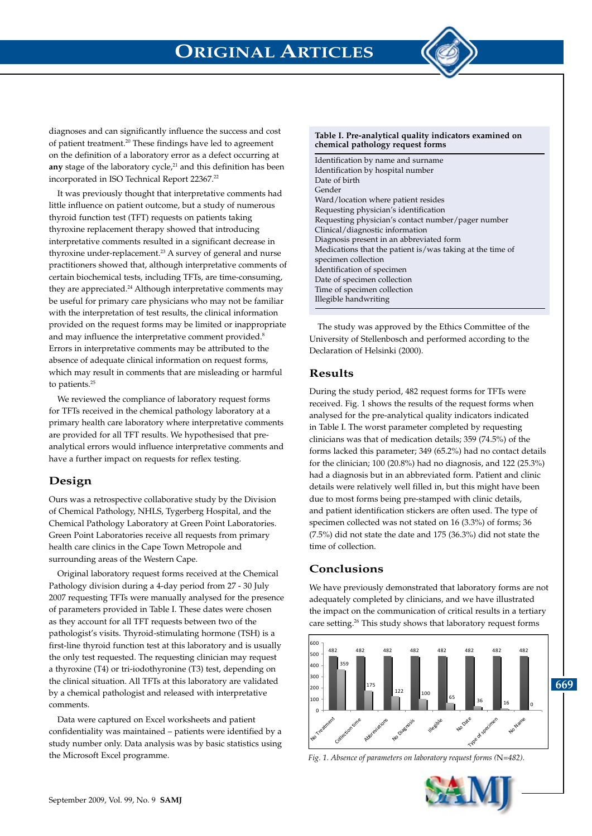

diagnoses and can significantly influence the success and cost of patient treatment.20 These findings have led to agreement on the definition of a laboratory error as a defect occurring at any stage of the laboratory cycle,<sup>21</sup> and this definition has been incorporated in ISO Technical Report 22367.<sup>22</sup>

It was previously thought that interpretative comments had little influence on patient outcome, but a study of numerous thyroid function test (TFT) requests on patients taking thyroxine replacement therapy showed that introducing interpretative comments resulted in a significant decrease in thyroxine under-replacement.<sup>23</sup> A survey of general and nurse practitioners showed that, although interpretative comments of certain biochemical tests, including TFTs, are time-consuming, they are appreciated.<sup>24</sup> Although interpretative comments may be useful for primary care physicians who may not be familiar with the interpretation of test results, the clinical information provided on the request forms may be limited or inappropriate and may influence the interpretative comment provided.<sup>8</sup> Errors in interpretative comments may be attributed to the absence of adequate clinical information on request forms, which may result in comments that are misleading or harmful to patients.<sup>25</sup>

We reviewed the compliance of laboratory request forms for TFTs received in the chemical pathology laboratory at a primary health care laboratory where interpretative comments are provided for all TFT results. We hypothesised that preanalytical errors would influence interpretative comments and have a further impact on requests for reflex testing.

### **Design**

Ours was a retrospective collaborative study by the Division of Chemical Pathology, NHLS, Tygerberg Hospital, and the Chemical Pathology Laboratory at Green Point Laboratories. Green Point Laboratories receive all requests from primary health care clinics in the Cape Town Metropole and surrounding areas of the Western Cape.

Original laboratory request forms received at the Chemical Pathology division during a 4-day period from 27 - 30 July 2007 requesting TFTs were manually analysed for the presence of parameters provided in Table I. These dates were chosen as they account for all TFT requests between two of the pathologist's visits. Thyroid-stimulating hormone (TSH) is a first-line thyroid function test at this laboratory and is usually the only test requested. The requesting clinician may request a thyroxine (T4) or tri-iodothyronine (T3) test, depending on the clinical situation. All TFTs at this laboratory are validated by a chemical pathologist and released with interpretative comments.

Data were captured on Excel worksheets and patient confidentiality was maintained – patients were identified by a study number only. Data analysis was by basic statistics using the Microsoft Excel programme.

#### **Table I. Pre-analytical quality indicators examined on chemical pathology request forms**

Identification by name and surname Identification by hospital number Date of birth Gender Ward/location where patient resides Requesting physician's identification Requesting physician's contact number/pager number Clinical/diagnostic information Diagnosis present in an abbreviated form Medications that the patient is/was taking at the time of specimen collection Identification of specimen Date of specimen collection Time of specimen collection Illegible handwriting

The study was approved by the Ethics Committee of the University of Stellenbosch and performed according to the Declaration of Helsinki (2000).

### **Results**

During the study period, 482 request forms for TFTs were received. Fig. 1 shows the results of the request forms when analysed for the pre-analytical quality indicators indicated in Table I. The worst parameter completed by requesting clinicians was that of medication details; 359 (74.5%) of the forms lacked this parameter; 349 (65.2%) had no contact details for the clinician; 100 (20.8%) had no diagnosis, and 122 (25.3%) had a diagnosis but in an abbreviated form. Patient and clinic details were relatively well filled in, but this might have been due to most forms being pre-stamped with clinic details, and patient identification stickers are often used. The type of specimen collected was not stated on 16 (3.3%) of forms; 36 (7.5%) did not state the date and 175 (36.3%) did not state the time of collection.

### **Conclusions**

We have previously demonstrated that laboratory forms are not adequately completed by clinicians, and we have illustrated the impact on the communication of critical results in a tertiary care setting.<sup>26</sup> This study shows that laboratory request forms



*Fig. 1. Absence of parameters on laboratory request forms (*N*=482). Fig. 1. Absence of parameters on laboratory request forms (*N*=482).*

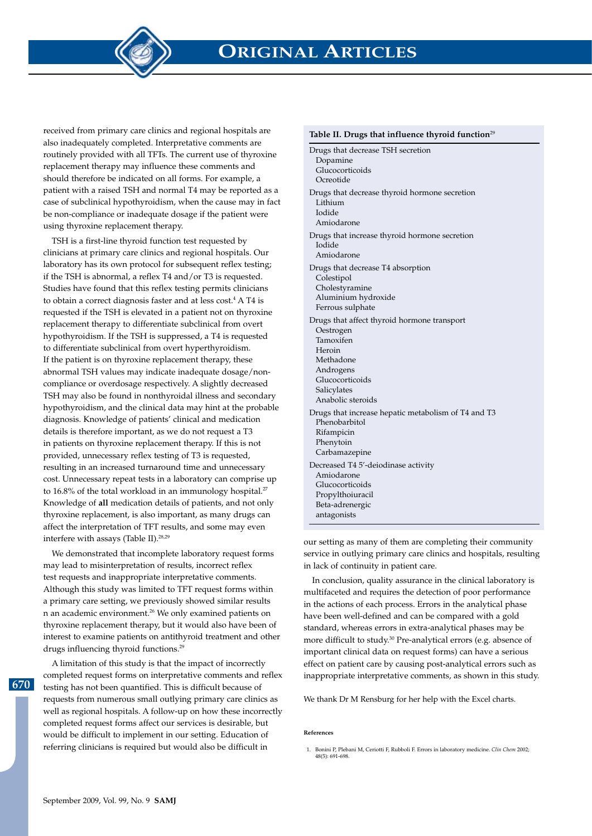**ORIGINAL ARTICLES**

received from primary care clinics and regional hospitals are also inadequately completed. Interpretative comments are routinely provided with all TFTs. The current use of thyroxine replacement therapy may influence these comments and should therefore be indicated on all forms. For example, a patient with a raised TSH and normal T4 may be reported as a case of subclinical hypothyroidism, when the cause may in fact be non-compliance or inadequate dosage if the patient were using thyroxine replacement therapy.

TSH is a first-line thyroid function test requested by clinicians at primary care clinics and regional hospitals. Our laboratory has its own protocol for subsequent reflex testing; if the TSH is abnormal, a reflex T4 and/or T3 is requested. Studies have found that this reflex testing permits clinicians to obtain a correct diagnosis faster and at less cost.<sup>4</sup> A T4 is requested if the TSH is elevated in a patient not on thyroxine replacement therapy to differentiate subclinical from overt hypothyroidism. If the TSH is suppressed, a T4 is requested to differentiate subclinical from overt hyperthyroidism. If the patient is on thyroxine replacement therapy, these abnormal TSH values may indicate inadequate dosage/noncompliance or overdosage respectively. A slightly decreased TSH may also be found in nonthyroidal illness and secondary hypothyroidism, and the clinical data may hint at the probable diagnosis. Knowledge of patients' clinical and medication details is therefore important, as we do not request a T3 in patients on thyroxine replacement therapy. If this is not provided, unnecessary reflex testing of T3 is requested, resulting in an increased turnaround time and unnecessary cost. Unnecessary repeat tests in a laboratory can comprise up to 16.8% of the total workload in an immunology hospital.<sup>27</sup> Knowledge of **all** medication details of patients, and not only thyroxine replacement, is also important, as many drugs can affect the interpretation of TFT results, and some may even interfere with assays (Table II).28,29

We demonstrated that incomplete laboratory request forms may lead to misinterpretation of results, incorrect reflex test requests and inappropriate interpretative comments. Although this study was limited to TFT request forms within a primary care setting, we previously showed similar results n an academic environment.26 We only examined patients on thyroxine replacement therapy, but it would also have been of interest to examine patients on antithyroid treatment and other drugs influencing thyroid functions.29

**670**

A limitation of this study is that the impact of incorrectly completed request forms on interpretative comments and reflex testing has not been quantified. This is difficult because of requests from numerous small outlying primary care clinics as well as regional hospitals. A follow-up on how these incorrectly completed request forms affect our services is desirable, but would be difficult to implement in our setting. Education of referring clinicians is required but would also be difficult in

#### **Table II. Drugs that influence thyroid function**<sup>29</sup>

Drugs that decrease TSH secretion Dopamine Glucocorticoids Ocreotide Drugs that decrease thyroid hormone secretion Lithium Iodide Amiodarone Drugs that increase thyroid hormone secretion Iodide Amiodarone Drugs that decrease T4 absorption Colestipol Cholestyramine Aluminium hydroxide Ferrous sulphate Drugs that affect thyroid hormone transport Oestrogen Tamoxifen Heroin Methadone Androgens Glucocorticoids Salicylates Anabolic steroids Drugs that increase hepatic metabolism of T4 and T3 Phenobarbitol Rifampicin Phenytoin Carbamazepine Decreased T4 5'-deiodinase activity Amiodarone Glucocorticoids Propylthoiuracil Beta-adrenergic antagonists

our setting as many of them are completing their community service in outlying primary care clinics and hospitals, resulting in lack of continuity in patient care.

In conclusion, quality assurance in the clinical laboratory is multifaceted and requires the detection of poor performance in the actions of each process. Errors in the analytical phase have been well-defined and can be compared with a gold standard, whereas errors in extra-analytical phases may be more difficult to study.30 Pre-analytical errors (e.g. absence of important clinical data on request forms) can have a serious effect on patient care by causing post-analytical errors such as inappropriate interpretative comments, as shown in this study.

We thank Dr M Rensburg for her help with the Excel charts.

### **References**

 <sup>1.</sup> Bonini P, Plebani M, Ceriotti F, Rubboli F. Errors in laboratory medicine. *Clin Chem* 2002; 48(5): 691-698.